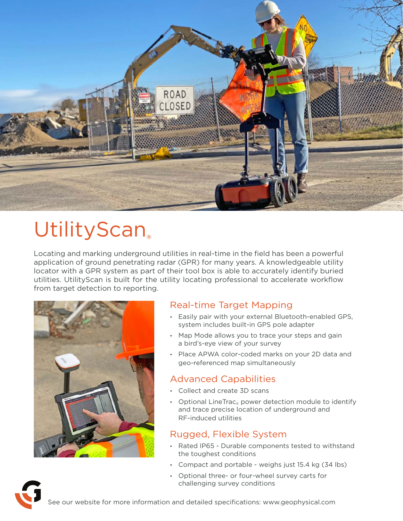

# UtilityScan®

Locating and marking underground utilities in real-time in the field has been a powerful application of ground penetrating radar (GPR) for many years. A knowledgeable utility locator with a GPR system as part of their tool box is able to accurately identify buried utilities. UtilityScan is built for the utility locating professional to accelerate workflow from target detection to reporting.



### Real-time Target Mapping

- Easily pair with your external Bluetooth-enabled GPS, system includes built-in GPS pole adapter
- Map Mode allows you to trace your steps and gain a bird's-eye view of your survey
- Place APWA color-coded marks on your 2D data and geo-referenced map simultaneously

### Advanced Capabilities

- Collect and create 3D scans
- Optional LineTrac<sub>®</sub> power detection module to identify and trace precise location of underground and RF-induced utilities

### Rugged, Flexible System

- Rated IP65 Durable components tested to withstand the toughest conditions
- Compact and portable weighs just 15.4 kg (34 lbs)
- Optional three- or four-wheel survey carts for challenging survey conditions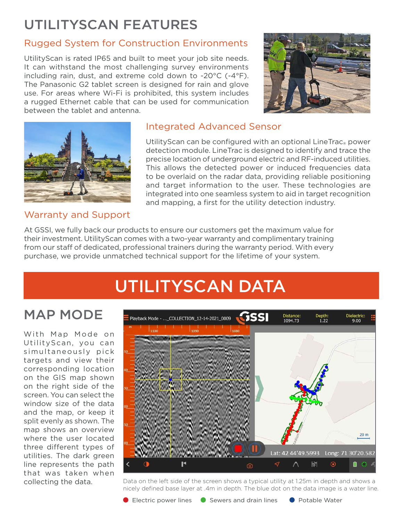## UTILITYSCAN FEATURES

### Rugged System for Construction Environments

UtilityScan is rated IP65 and built to meet your job site needs. It can withstand the most challenging survey environments including rain, dust, and extreme cold down to -20°C (-4°F). The Panasonic G2 tablet screen is designed for rain and glove use. For areas where Wi-Fi is prohibited, this system includes a rugged Ethernet cable that can be used for communication between the tablet and antenna.





### Warranty and Support

### Integrated Advanced Sensor

UtilityScan can be configured with an optional LineTrac<sub>®</sub> power detection module. LineTrac is designed to identify and trace the precise location of underground electric and RF-induced utilities. This allows the detected power or induced frequencies data to be overlaid on the radar data, providing reliable positioning and target information to the user. These technologies are integrated into one seamless system to aid in target recognition and mapping, a first for the utility detection industry.

At GSSI, we fully back our products to ensure our customers get the maximum value for their investment. UtilityScan comes with a two-year warranty and complimentary training from our staff of dedicated, professional trainers during the warranty period. With every purchase, we provide unmatched technical support for the lifetime of your system.

## UTILITYSCAN DATA

### MAP MODE

With Map Mode on UtilityScan, you can simultaneously pick targets and view their corresponding location on the GIS map shown on the right side of the screen. You can select the window size of the data and the map, or keep it split evenly as shown. The map shows an overview where the user located three different types of utilities. The dark green line represents the path that was taken when collecting the data.



Data on the left side of the screen shows a typical utility at 1.25m in depth and shows a nicely defined base layer at .4m in depth. The blue dot on the data image is a water line.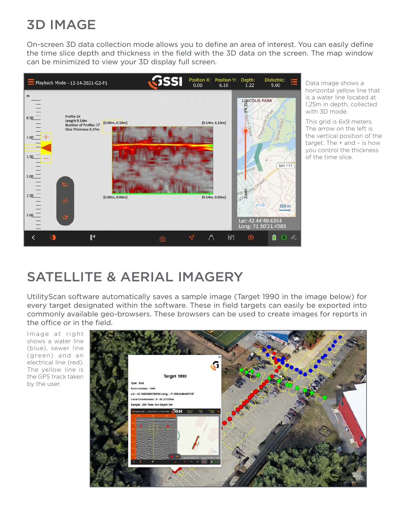## 3D IMAGE

On-screen 3D data collection mode allows you to define an area of interest. You can easily define the time slice depth and thickness in the field with the 3D data on the screen. The map window can be minimized to view your 3D display full screen.



Data image shows a horizontal yellow line that is a water line located at 1.25m in depth, collected with 3D mode.

This grid is 6x9 meters. The arrow on the left is the vertical position of the target. The + and – is how you control the thickness of the time slice.

## SATELLITE & AERIAL IMAGERY

UtilityScan software automatically saves a sample image (Target 1990 in the image below) for every target designated within the software. These in field targets can easily be exported into commonly available geo-browsers. These browsers can be used to create images for reports in the office or in the field.

I mage at right shows a water line (blue), sewer line (green) and an electrical line (red). The yellow line is the GPS track taken by the user.